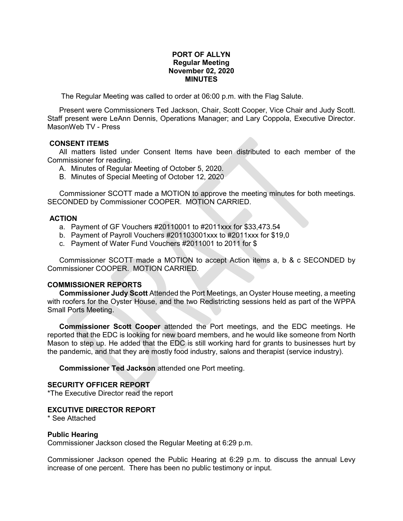# **PORT OF ALLYN Regular Meeting November 02, 2020 MINUTES**

The Regular Meeting was called to order at 06:00 p.m. with the Flag Salute.

Present were Commissioners Ted Jackson, Chair, Scott Cooper, Vice Chair and Judy Scott. Staff present were LeAnn Dennis, Operations Manager; and Lary Coppola, Executive Director. MasonWeb TV - Press

# **CONSENT ITEMS**

All matters listed under Consent Items have been distributed to each member of the Commissioner for reading.

- A. Minutes of Regular Meeting of October 5, 2020.
- B. Minutes of Special Meeting of October 12, 2020

Commissioner SCOTT made a MOTION to approve the meeting minutes for both meetings. SECONDED by Commissioner COOPER. MOTION CARRIED.

# **ACTION**

- a. Payment of GF Vouchers #20110001 to #2011xxx for \$33,473.54
- b. Payment of Payroll Vouchers #201103001xxx to #2011xxx for \$19,0
- c. Payment of Water Fund Vouchers #2011001 to 2011 for \$

Commissioner SCOTT made a MOTION to accept Action items a, b & c SECONDED by Commissioner COOPER. MOTION CARRIED.

# **COMMISSIONER REPORTS**

**Commissioner Judy Scott** Attended the Port Meetings, an Oyster House meeting, a meeting with roofers for the Oyster House, and the two Redistricting sessions held as part of the WPPA Small Ports Meeting.

**Commissioner Scott Cooper** attended the Port meetings, and the EDC meetings. He reported that the EDC is looking for new board members, and he would like someone from North Mason to step up. He added that the EDC is still working hard for grants to businesses hurt by the pandemic, and that they are mostly food industry, salons and therapist (service industry).

**Commissioner Ted Jackson** attended one Port meeting.

#### **SECURITY OFFICER REPORT**

\*The Executive Director read the report

# **EXCUTIVE DIRECTOR REPORT**

\* See Attached

#### **Public Hearing**

Commissioner Jackson closed the Regular Meeting at 6:29 p.m.

Commissioner Jackson opened the Public Hearing at 6:29 p.m. to discuss the annual Levy increase of one percent. There has been no public testimony or input.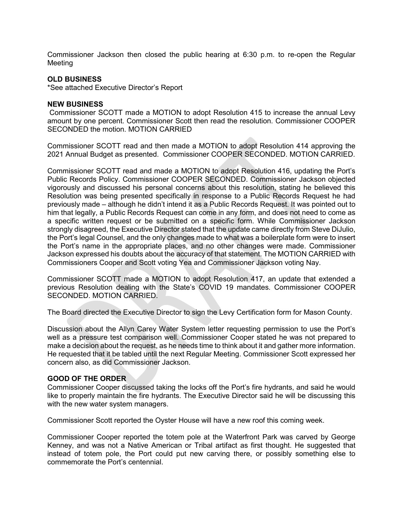Commissioner Jackson then closed the public hearing at 6:30 p.m. to re-open the Regular Meeting

#### **OLD BUSINESS**

\*See attached Executive Director's Report

#### **NEW BUSINESS**

Commissioner SCOTT made a MOTION to adopt Resolution 415 to increase the annual Levy amount by one percent. Commissioner Scott then read the resolution. Commissioner COOPER SECONDED the motion. MOTION CARRIED

Commissioner SCOTT read and then made a MOTION to adopt Resolution 414 approving the 2021 Annual Budget as presented. Commissioner COOPER SECONDED. MOTION CARRIED.

Commissioner SCOTT read and made a MOTION to adopt Resolution 416, updating the Port's Public Records Policy. Commissioner COOPER SECONDED. Commissioner Jackson objected vigorously and discussed his personal concerns about this resolution, stating he believed this Resolution was being presented specifically in response to a Public Records Request he had previously made – although he didn't intend it as a Public Records Request. It was pointed out to him that legally, a Public Records Request can come in any form, and does not need to come as a specific written request or be submitted on a specific form. While Commissioner Jackson strongly disagreed, the Executive Director stated that the update came directly from Steve DiJulio, the Port's legal Counsel, and the only changes made to what was a boilerplate form were to insert the Port's name in the appropriate places, and no other changes were made. Commissioner Jackson expressed his doubts about the accuracy of that statement. The MOTION CARRIED with Commissioners Cooper and Scott voting Yea and Commissioner Jackson voting Nay.

Commissioner SCOTT made a MOTION to adopt Resolution 417, an update that extended a previous Resolution dealing with the State's COVID 19 mandates. Commissioner COOPER SECONDED. MOTION CARRIED.

The Board directed the Executive Director to sign the Levy Certification form for Mason County.

Discussion about the Allyn Carey Water System letter requesting permission to use the Port's well as a pressure test comparison well. Commissioner Cooper stated he was not prepared to make a decision about the request, as he needs time to think about it and gather more information. He requested that it be tabled until the next Regular Meeting. Commissioner Scott expressed her concern also, as did Commissioner Jackson.

# **GOOD OF THE ORDER**

Commissioner Cooper discussed taking the locks off the Port's fire hydrants, and said he would like to properly maintain the fire hydrants. The Executive Director said he will be discussing this with the new water system managers.

Commissioner Scott reported the Oyster House will have a new roof this coming week.

Commissioner Cooper reported the totem pole at the Waterfront Park was carved by George Kenney, and was not a Native American or Tribal artifact as first thought. He suggested that instead of totem pole, the Port could put new carving there, or possibly something else to commemorate the Port's centennial.